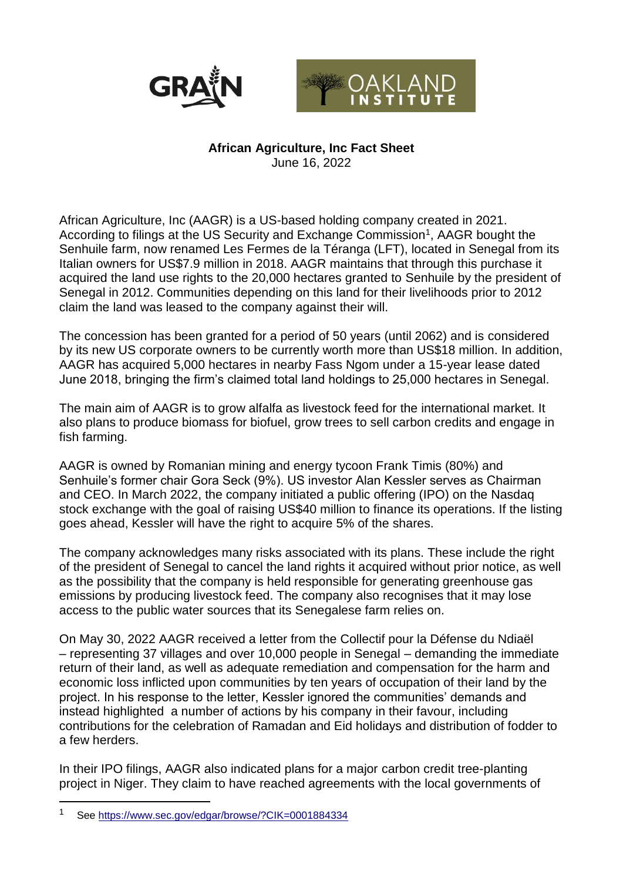



## **African Agriculture, Inc Fact Sheet**

June 16, 2022

African Agriculture, Inc (AAGR) is a US-based holding company created in 2021. According to filings at the US Security and Exchange Commission<sup>1</sup>, AAGR bought the Senhuile farm, now renamed Les Fermes de la Téranga (LFT), located in Senegal from its Italian owners for US\$7.9 million in 2018. AAGR maintains that through this purchase it acquired the land use rights to the 20,000 hectares granted to Senhuile by the president of Senegal in 2012. Communities depending on this land for their livelihoods prior to 2012 claim the land was leased to the company against their will.

The concession has been granted for a period of 50 years (until 2062) and is considered by its new US corporate owners to be currently worth more than US\$18 million. In addition, AAGR has acquired 5,000 hectares in nearby Fass Ngom under a 15-year lease dated June 2018, bringing the firm's claimed total land holdings to 25,000 hectares in Senegal.

The main aim of AAGR is to grow alfalfa as livestock feed for the international market. It also plans to produce biomass for biofuel, grow trees to sell carbon credits and engage in fish farming.

AAGR is owned by Romanian mining and energy tycoon Frank Timis (80%) and Senhuile's former chair Gora Seck (9%). US investor Alan Kessler serves as Chairman and CEO. In March 2022, the company initiated a public offering (IPO) on the Nasdaq stock exchange with the goal of raising US\$40 million to finance its operations. If the listing goes ahead, Kessler will have the right to acquire 5% of the shares.

The company acknowledges many risks associated with its plans. These include the right of the president of Senegal to cancel the land rights it acquired without prior notice, as well as the possibility that the company is held responsible for generating greenhouse gas emissions by producing livestock feed. The company also recognises that it may lose access to the public water sources that its Senegalese farm relies on.

On May 30, 2022 AAGR received a letter from the Collectif pour la Défense du Ndiaël – representing 37 villages and over 10,000 people in Senegal – demanding the immediate return of their land, as well as adequate remediation and compensation for the harm and economic loss inflicted upon communities by ten years of occupation of their land by the project. In his response to the letter, Kessler ignored the communities' demands and instead highlighted a number of actions by his company in their favour, including contributions for the celebration of Ramadan and Eid holidays and distribution of fodder to a few herders.

In their IPO filings, AAGR also indicated plans for a major carbon credit tree-planting project in Niger. They claim to have reached agreements with the local governments of

1

<sup>1</sup> See<https://www.sec.gov/edgar/browse/?CIK=0001884334>